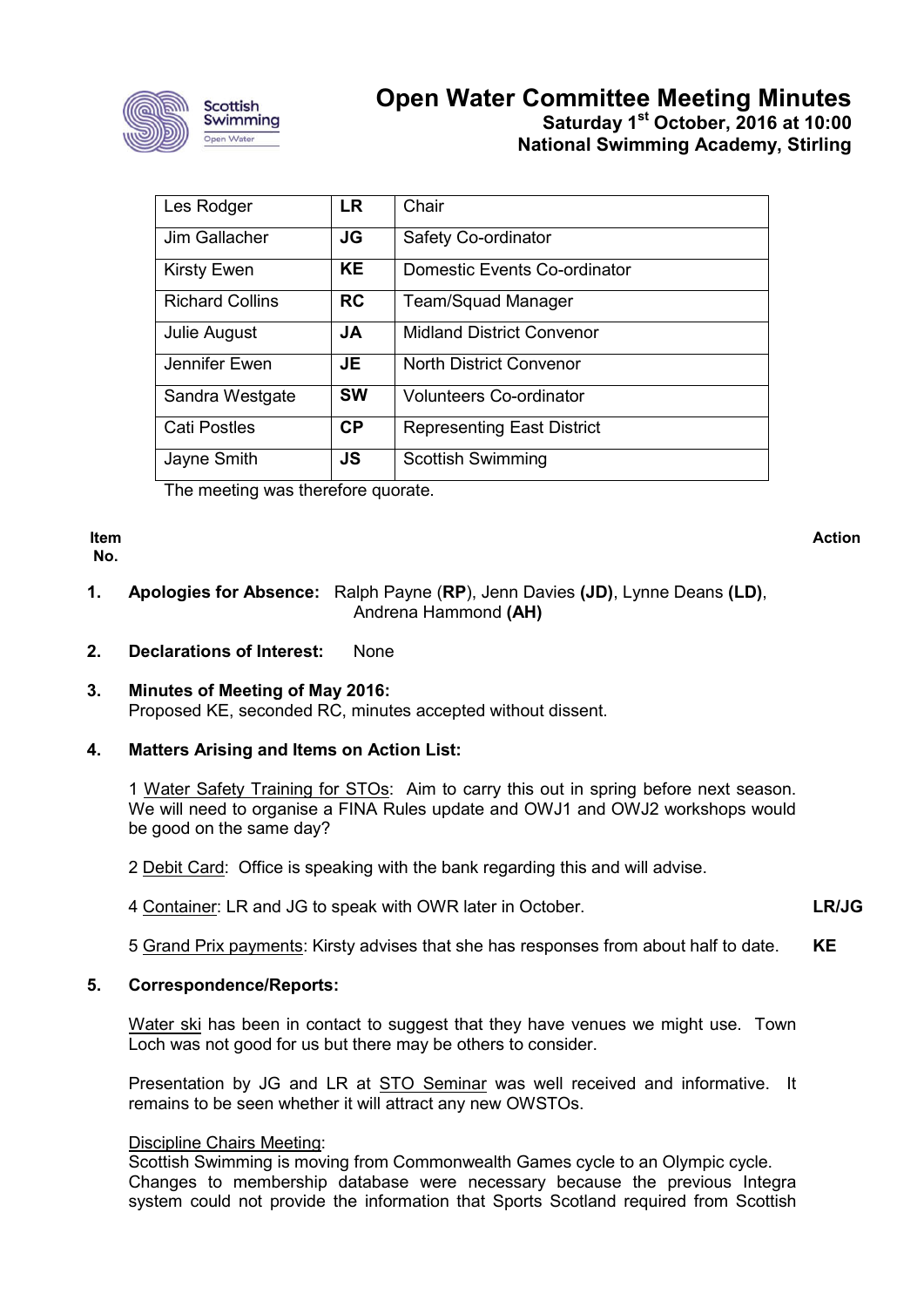

# **Open Water Committee Meeting Minutes Saturday 1st October, 2016 at 10:00 National Swimming Academy, Stirling**

| Les Rodger             | <b>LR</b> | Chair                             |
|------------------------|-----------|-----------------------------------|
| Jim Gallacher          | <b>JG</b> | Safety Co-ordinator               |
| <b>Kirsty Ewen</b>     | KE.       | Domestic Events Co-ordinator      |
| <b>Richard Collins</b> | <b>RC</b> | <b>Team/Squad Manager</b>         |
| Julie August           | JA        | <b>Midland District Convenor</b>  |
| Jennifer Ewen          | JE        | <b>North District Convenor</b>    |
| Sandra Westgate        | <b>SW</b> | <b>Volunteers Co-ordinator</b>    |
| <b>Cati Postles</b>    | <b>CP</b> | <b>Representing East District</b> |
| Jayne Smith            | <b>JS</b> | <b>Scottish Swimming</b>          |

The meeting was therefore quorate.

**Item No.**

**Action**

**LR/JG**

- **1. Apologies for Absence:** Ralph Payne (**RP**), Jenn Davies **(JD)**, Lynne Deans **(LD)**, Andrena Hammond **(AH)**
- **2. Declarations of Interest:** None
- **3. Minutes of Meeting of May 2016:** Proposed KE, seconded RC, minutes accepted without dissent.
- **4. Matters Arising and Items on Action List:**

1 Water Safety Training for STOs: Aim to carry this out in spring before next season. We will need to organise a FINA Rules update and OWJ1 and OWJ2 workshops would be good on the same day?

- 2 Debit Card: Office is speaking with the bank regarding this and will advise.
- 4 Container: LR and JG to speak with OWR later in October.
- 5 Grand Prix payments: Kirsty advises that she has responses from about half to date. **KE**

### **5. Correspondence/Reports:**

Water ski has been in contact to suggest that they have venues we might use. Town Loch was not good for us but there may be others to consider.

Presentation by JG and LR at STO Seminar was well received and informative. It remains to be seen whether it will attract any new OWSTOs.

### Discipline Chairs Meeting:

Scottish Swimming is moving from Commonwealth Games cycle to an Olympic cycle. Changes to membership database were necessary because the previous Integra system could not provide the information that Sports Scotland required from Scottish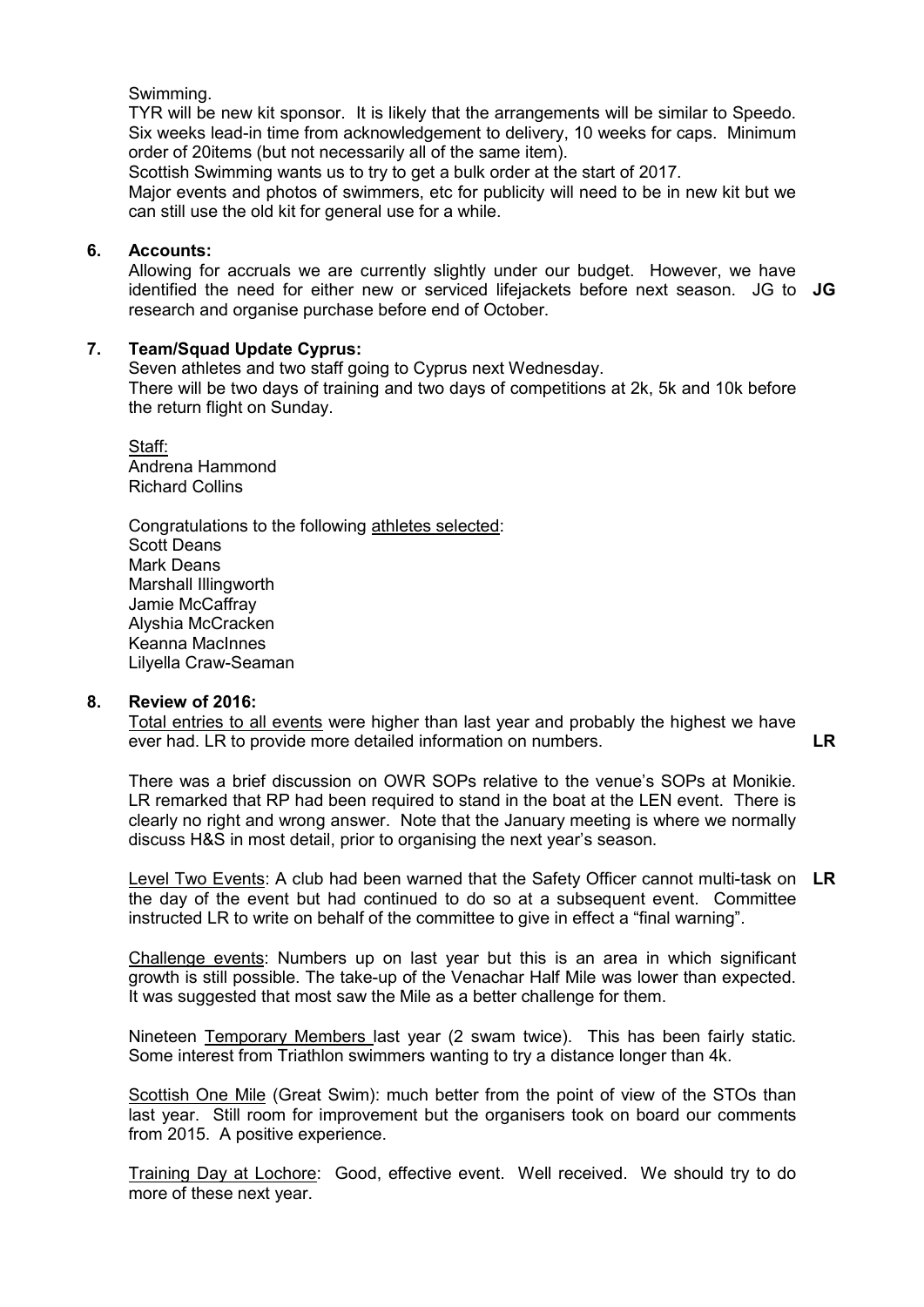# Swimming.

TYR will be new kit sponsor. It is likely that the arrangements will be similar to Speedo. Six weeks lead-in time from acknowledgement to delivery, 10 weeks for caps. Minimum order of 20items (but not necessarily all of the same item).

Scottish Swimming wants us to try to get a bulk order at the start of 2017.

Major events and photos of swimmers, etc for publicity will need to be in new kit but we can still use the old kit for general use for a while.

# **6. Accounts:**

Allowing for accruals we are currently slightly under our budget. However, we have identified the need for either new or serviced lifejackets before next season. JG to **JG** research and organise purchase before end of October.

# **7. Team/Squad Update Cyprus:**

Seven athletes and two staff going to Cyprus next Wednesday. There will be two days of training and two days of competitions at 2k, 5k and 10k before the return flight on Sunday.

Staff: Andrena Hammond Richard Collins

Congratulations to the following athletes selected: Scott Deans Mark Deans Marshall Illingworth Jamie McCaffray Alyshia McCracken Keanna MacInnes Lilyella Craw-Seaman

### **8. Review of 2016:**

Total entries to all events were higher than last year and probably the highest we have ever had. LR to provide more detailed information on numbers. **LR**

There was a brief discussion on OWR SOPs relative to the venue's SOPs at Monikie. LR remarked that RP had been required to stand in the boat at the LEN event. There is clearly no right and wrong answer. Note that the January meeting is where we normally discuss H&S in most detail, prior to organising the next year's season.

Level Two Events: A club had been warned that the Safety Officer cannot multi-task on **LR**the day of the event but had continued to do so at a subsequent event. Committee instructed LR to write on behalf of the committee to give in effect a "final warning".

Challenge events: Numbers up on last year but this is an area in which significant growth is still possible. The take-up of the Venachar Half Mile was lower than expected. It was suggested that most saw the Mile as a better challenge for them.

Nineteen Temporary Members last year (2 swam twice). This has been fairly static. Some interest from Triathlon swimmers wanting to try a distance longer than 4k.

Scottish One Mile (Great Swim): much better from the point of view of the STOs than last year. Still room for improvement but the organisers took on board our comments from 2015. A positive experience.

Training Day at Lochore: Good, effective event. Well received. We should try to do more of these next year.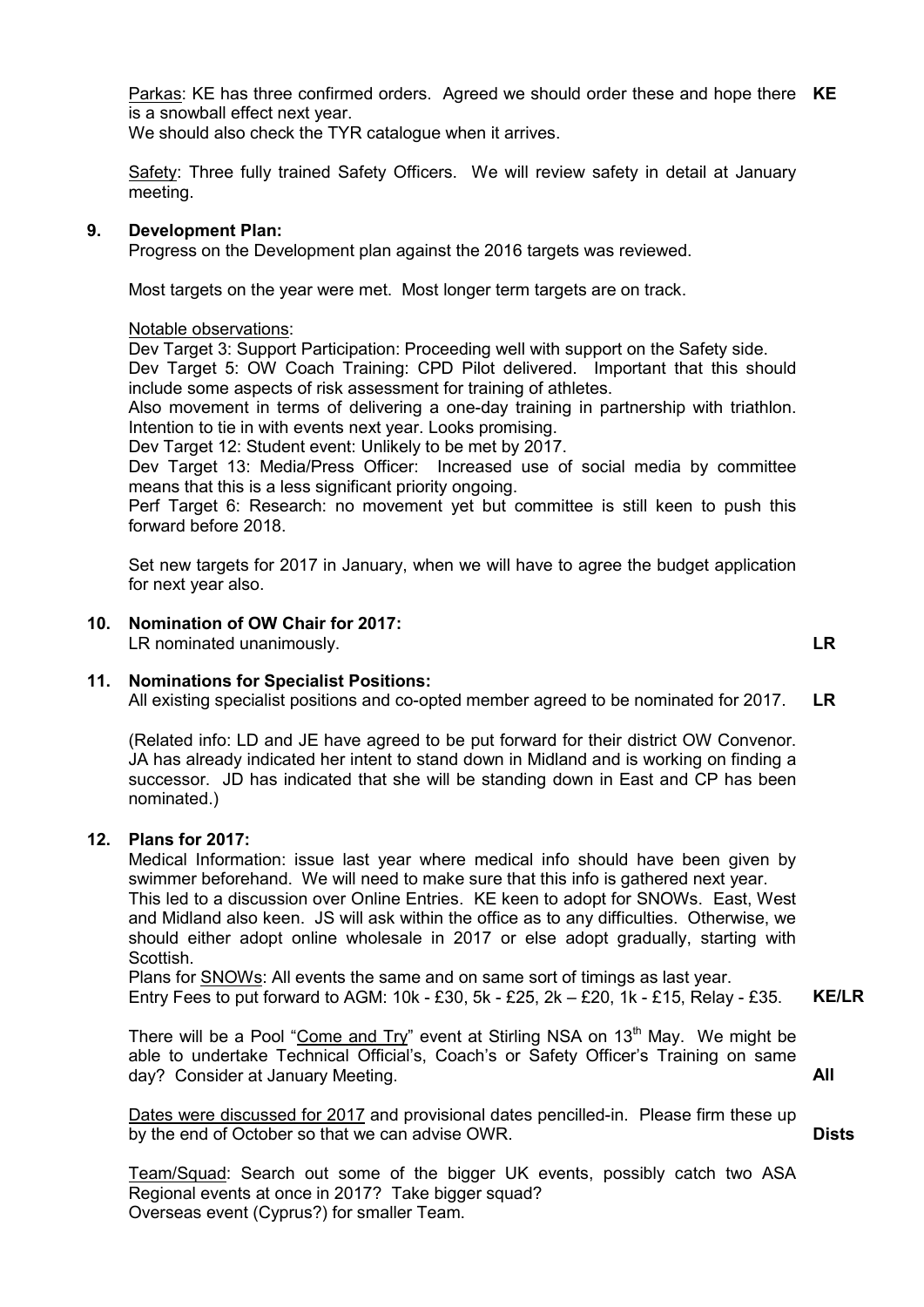Parkas: KE has three confirmed orders. Agreed we should order these and hope there **KE** is a snowball effect next year.

We should also check the TYR catalogue when it arrives.

Safety: Three fully trained Safety Officers. We will review safety in detail at January meeting.

### **9. Development Plan:**

Progress on the Development plan against the 2016 targets was reviewed.

Most targets on the year were met. Most longer term targets are on track.

#### Notable observations:

Dev Target 3: Support Participation: Proceeding well with support on the Safety side. Dev Target 5: OW Coach Training: CPD Pilot delivered. Important that this should include some aspects of risk assessment for training of athletes.

Also movement in terms of delivering a one-day training in partnership with triathlon. Intention to tie in with events next year. Looks promising.

Dev Target 12: Student event: Unlikely to be met by 2017.

Dev Target 13: Media/Press Officer: Increased use of social media by committee means that this is a less significant priority ongoing.

Perf Target 6: Research: no movement yet but committee is still keen to push this forward before 2018.

Set new targets for 2017 in January, when we will have to agree the budget application for next year also.

# **10. Nomination of OW Chair for 2017:**

LR nominated unanimously. **LR**

**11. Nominations for Specialist Positions:**

All existing specialist positions and co-opted member agreed to be nominated for 2017. **LR**

(Related info: LD and JE have agreed to be put forward for their district OW Convenor. JA has already indicated her intent to stand down in Midland and is working on finding a successor. JD has indicated that she will be standing down in East and CP has been nominated.)

# **12. Plans for 2017:**

Medical Information: issue last year where medical info should have been given by swimmer beforehand. We will need to make sure that this info is gathered next year. This led to a discussion over Online Entries. KE keen to adopt for SNOWs. East, West and Midland also keen. JS will ask within the office as to any difficulties. Otherwise, we should either adopt online wholesale in 2017 or else adopt gradually, starting with Scottish.

Plans for SNOWs: All events the same and on same sort of timings as last year. Entry Fees to put forward to AGM:  $10k - £30$ ,  $5k - £25$ ,  $2k - £20$ ,  $1k - £15$ , Relay -£35. **KE/LR**

There will be a Pool "Come and Try" event at Stirling NSA on  $13<sup>th</sup>$  May. We might be able to undertake Technical Official's, Coach's or Safety Officer's Training on same day? Consider at January Meeting.

Dates were discussed for 2017 and provisional dates pencilled-in. Please firm these up by the end of October so that we can advise OWR.

**Dists**

**All**

Team/Squad: Search out some of the bigger UK events, possibly catch two ASA Regional events at once in 2017? Take bigger squad? Overseas event (Cyprus?) for smaller Team.